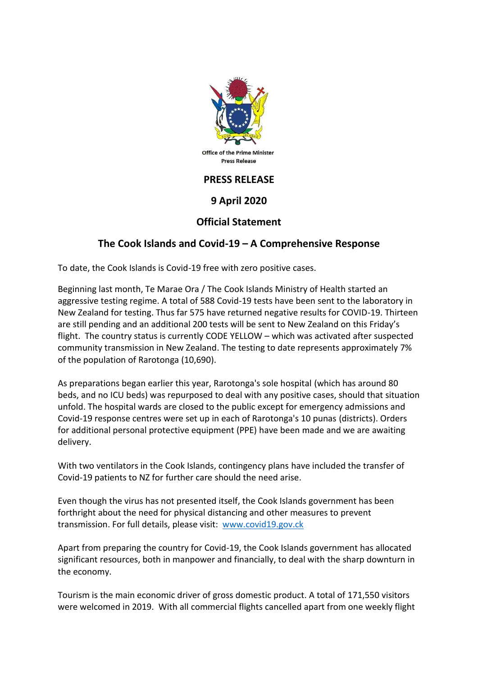

## **9 April 2020**

## **Official Statement**

## **The Cook Islands and Covid-19 – A Comprehensive Response**

To date, the Cook Islands is Covid-19 free with zero positive cases.

Beginning last month, Te Marae Ora / The Cook Islands Ministry of Health started an aggressive testing regime. A total of 588 Covid-19 tests have been sent to the laboratory in New Zealand for testing. Thus far 575 have returned negative results for COVID-19. Thirteen are still pending and an additional 200 tests will be sent to New Zealand on this Friday's flight. The country status is currently CODE YELLOW – which was activated after suspected community transmission in New Zealand. The testing to date represents approximately 7% of the population of Rarotonga (10,690).

As preparations began earlier this year, Rarotonga's sole hospital (which has around 80 beds, and no ICU beds) was repurposed to deal with any positive cases, should that situation unfold. The hospital wards are closed to the public except for emergency admissions and Covid-19 response centres were set up in each of Rarotonga's 10 punas (districts). Orders for additional personal protective equipment (PPE) have been made and we are awaiting delivery.

With two ventilators in the Cook Islands, contingency plans have included the transfer of Covid-19 patients to NZ for further care should the need arise.

Even though the virus has not presented itself, the Cook Islands government has been forthright about the need for physical distancing and other measures to prevent transmission. For full details, please visit: www.covid19.gov.ck

Apart from preparing the country for Covid-19, the Cook Islands government has allocated significant resources, both in manpower and financially, to deal with the sharp downturn in the economy.

Tourism is the main economic driver of gross domestic product. A total of 171,550 visitors were welcomed in 2019. With all commercial flights cancelled apart from one weekly flight